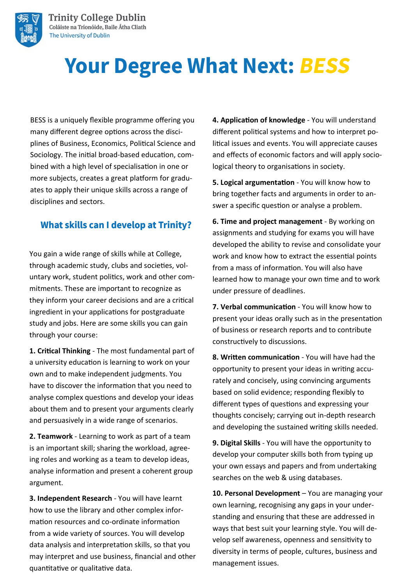

# **Your Degree What Next: BESS**

BESS is a uniquely flexible programme offering you many different degree options across the disciplines of Business, Economics, Political Science and Sociology. The initial broad-based education, combined with a high level of specialisation in one or more subjects, creates a great platform for graduates to apply their unique skills across a range of disciplines and sectors.

#### **What skills can I develop at Trinity?**

You gain a wide range of skills while at College, through academic study, clubs and societies, voluntary work, student politics, work and other commitments. These are important to recognize as they inform your career decisions and are a critical ingredient in your applications for postgraduate study and jobs. Here are some skills you can gain through your course:

**1. Critical Thinking** - The most fundamental part of a university education is learning to work on your own and to make independent judgments. You have to discover the information that you need to analyse complex questions and develop your ideas about them and to present your arguments clearly and persuasively in a wide range of scenarios.

**2. Teamwork** - Learning to work as part of a team is an important skill; sharing the workload, agreeing roles and working as a team to develop ideas, analyse information and present a coherent group argument.

**3. Independent Research** - You will have learnt how to use the library and other complex information resources and co-ordinate information from a wide variety of sources. You will develop data analysis and interpretation skills, so that you may interpret and use business, financial and other quantitative or qualitative data.

**4. Application of knowledge** - You will understand different political systems and how to interpret political issues and events. You will appreciate causes and effects of economic factors and will apply sociological theory to organisations in society.

**5. Logical argumentation** - You will know how to bring together facts and arguments in order to answer a specific question or analyse a problem.

**6. Time and project management** - By working on assignments and studying for exams you will have developed the ability to revise and consolidate your work and know how to extract the essential points from a mass of information. You will also have learned how to manage your own time and to work under pressure of deadlines.

**7. Verbal communication** - You will know how to present your ideas orally such as in the presentation of business or research reports and to contribute constructively to discussions.

**8. Written communication** - You will have had the opportunity to present your ideas in writing accurately and concisely, using convincing arguments based on solid evidence; responding flexibly to different types of questions and expressing your thoughts concisely; carrying out in-depth research and developing the sustained writing skills needed.

**9. Digital Skills** - You will have the opportunity to develop your computer skills both from typing up your own essays and papers and from undertaking searches on the web & using databases.

10. Personal Development - You are managing your own learning, recognising any gaps in your understanding and ensuring that these are addressed in ways that best suit your learning style. You will develop self awareness, openness and sensitivity to diversity in terms of people, cultures, business and management issues.